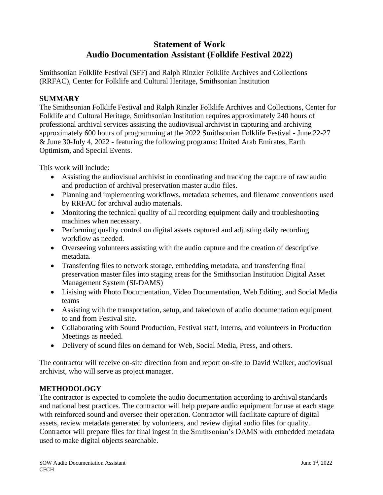# **Statement of Work Audio Documentation Assistant (Folklife Festival 2022)**

Smithsonian Folklife Festival (SFF) and Ralph Rinzler Folklife Archives and Collections (RRFAC), Center for Folklife and Cultural Heritage, Smithsonian Institution

#### **SUMMARY**

The Smithsonian Folklife Festival and Ralph Rinzler Folklife Archives and Collections, Center for Folklife and Cultural Heritage, Smithsonian Institution requires approximately 240 hours of professional archival services assisting the audiovisual archivist in capturing and archiving approximately 600 hours of programming at the 2022 Smithsonian Folklife Festival - June 22-27 & June 30-July 4, 2022 - featuring the following programs: United Arab Emirates, Earth Optimism, and Special Events.

This work will include:

- Assisting the audiovisual archivist in coordinating and tracking the capture of raw audio and production of archival preservation master audio files.
- Planning and implementing workflows, metadata schemes, and filename conventions used by RRFAC for archival audio materials.
- Monitoring the technical quality of all recording equipment daily and troubleshooting machines when necessary.
- Performing quality control on digital assets captured and adjusting daily recording workflow as needed.
- Overseeing volunteers assisting with the audio capture and the creation of descriptive metadata.
- Transferring files to network storage, embedding metadata, and transferring final preservation master files into staging areas for the Smithsonian Institution Digital Asset Management System (SI-DAMS)
- Liaising with Photo Documentation, Video Documentation, Web Editing, and Social Media teams
- Assisting with the transportation, setup, and takedown of audio documentation equipment to and from Festival site.
- Collaborating with Sound Production, Festival staff, interns, and volunteers in Production Meetings as needed.
- Delivery of sound files on demand for Web, Social Media, Press, and others.

The contractor will receive on-site direction from and report on-site to David Walker, audiovisual archivist, who will serve as project manager.

## **METHODOLOGY**

The contractor is expected to complete the audio documentation according to archival standards and national best practices. The contractor will help prepare audio equipment for use at each stage with reinforced sound and oversee their operation. Contractor will facilitate capture of digital assets, review metadata generated by volunteers, and review digital audio files for quality. Contractor will prepare files for final ingest in the Smithsonian's DAMS with embedded metadata used to make digital objects searchable.